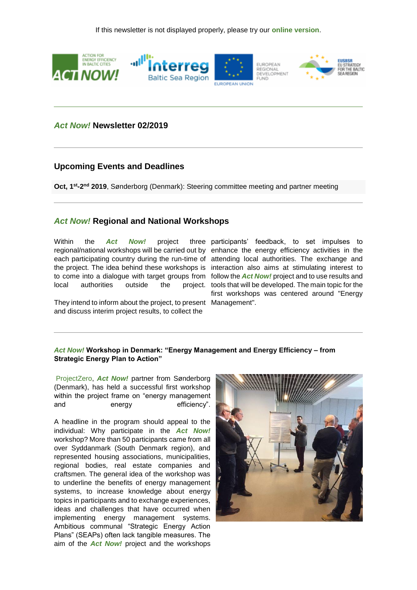

## *Act Now!* **Newsletter 02/2019**

### **Upcoming Events and Deadlines**

Oct, 1<sup>st</sup>-2<sup>nd</sup> 2019, Sønderborg (Denmark): Steering committee meeting and partner meeting

### *Act Now!* **Regional and National Workshops**

Within the *Act* Now! project each participating country during the run-time of attending local authorities. The exchange and the project. The idea behind these workshops is interaction also aims at stimulating interest to to come into a dialogue with target groups from follow the *Act Now!* project and to use results and local authorities outside the

They intend to inform about the project, to present Management". and discuss interim project results, to collect the

regional/national workshops will be carried out by enhance the energy efficiency activities in the participants' feedback, to set impulses to project. tools that will be developed. The main topic for the first workshops was centered around "Energy

#### *Act Now!* **Workshop in Denmark: "Energy Management and Energy Efficiency – from Strategic Energy Plan to Action"**

[ProjectZero,](https://191838.seu.cleverreach.com/c/34996095/c81e728d2-prsytm) *Act Now!* partner from Sønderborg (Denmark), has held a successful first workshop within the project frame on "energy management and energy efficiency".

A headline in the program should appeal to the individual: Why participate in the *Act Now!* workshop? More than 50 participants came from all over Syddanmark (South Denmark region), and represented housing associations, municipalities, regional bodies, real estate companies and craftsmen. The general idea of the workshop was to underline the benefits of energy management systems, to increase knowledge about energy topics in participants and to exchange experiences, ideas and challenges that have occurred when implementing energy management systems. Ambitious communal "Strategic Energy Action Plans" (SEAPs) often lack tangible measures. The aim of the *Act Now!* project and the workshops

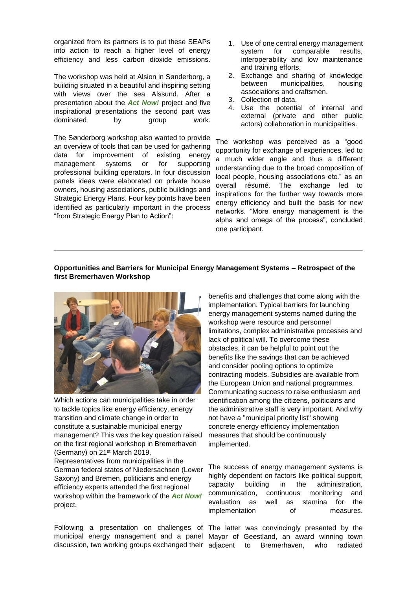organized from its partners is to put these SEAPs into action to reach a higher level of energy efficiency and less carbon dioxide emissions.

The workshop was held at Alsion in Sønderborg, a building situated in a beautiful and inspiring setting with views over the sea Alssund. After a presentation about the *Act Now!* project and five inspirational presentations the second part was dominated by group work.

The Sønderborg workshop also wanted to provide an overview of tools that can be used for gathering data for improvement of existing energy management systems or for supporting professional building operators. In four discussion panels ideas were elaborated on private house owners, housing associations, public buildings and Strategic Energy Plans. Four key points have been identified as particularly important in the process "from Strategic Energy Plan to Action":

- 1. Use of one central energy management system for comparable results, interoperability and low maintenance and training efforts.
- 2. Exchange and sharing of knowledge between municipalities, housing associations and craftsmen.
- 3. Collection of data.
- 4. Use the potential of internal and external (private and other public actors) collaboration in municipalities.

The workshop was perceived as a "good opportunity for exchange of experiences, led to a much wider angle and thus a different understanding due to the broad composition of local people, housing associations etc." as an overall résumé. The exchange led to inspirations for the further way towards more energy efficiency and built the basis for new networks. "More energy management is the alpha and omega of the process", concluded one participant.

#### **Opportunities and Barriers for Municipal Energy Management Systems – Retrospect of the first Bremerhaven Workshop**



Which actions can municipalities take in order to tackle topics like energy efficiency, energy transition and climate change in order to constitute a sustainable municipal energy management? This was the key question raised on the first regional workshop in Bremerhaven (Germany) on 21st March 2019. Representatives from municipalities in the German federal states of Niedersachsen (Lower Saxony) and Bremen, politicians and energy efficiency experts attended the first regional workshop within the framework of the *Act Now!* project.

discussion, two working groups exchanged their adjacent to

benefits and challenges that come along with the implementation. Typical barriers for launching energy management systems named during the workshop were resource and personnel limitations, complex administrative processes and lack of political will. To overcome these obstacles, it can be helpful to point out the benefits like the savings that can be achieved and consider pooling options to optimize contracting models. Subsidies are available from the European Union and national programmes. Communicating success to raise enthusiasm and identification among the citizens, politicians and the administrative staff is very important. And why not have a "municipal priority list" showing concrete energy efficiency implementation measures that should be continuously implemented.

The success of energy management systems is highly dependent on factors like political support, capacity building in the administration, communication, continuous monitoring and evaluation as well as stamina for the implementation of measures.

Following a presentation on challenges of The latter was convincingly presented by the municipal energy management and a panel Mayor of Geestland, an award winning town Bremerhaven, who radiated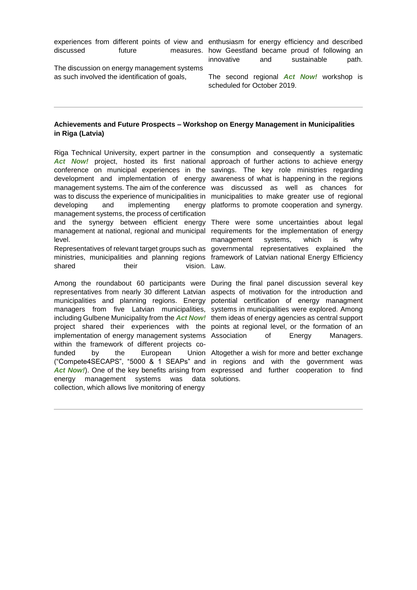The discussion on energy management systems as such involved the identification of goals,

experiences from different points of view and enthusiasm for energy efficiency and described discussed future measures. how Geestland became proud of following an innovative and sustainable path.

> The second regional *Act Now!* workshop is scheduled for October 2019.

#### **Achievements and Future Prospects – Workshop on Energy Management in Municipalities in Riga (Latvia)**

Riga Technical University, expert partner in the consumption and consequently a systematic Act Now! project, hosted its first national approach of further actions to achieve energy conference on municipal experiences in the savings. The key role ministries regarding development and implementation of energy awareness of what is happening in the regions management systems. The aim of the conference was discussed as well as chances for was to discuss the experience of municipalities in municipalities to make greater use of regional developing and implementing management systems, the process of certification and the synergy between efficient energy There were some uncertainties about legal management at national, regional and municipal requirements for the implementation of energy level.

ministries, municipalities and planning regions framework of Latvian national Energy Efficiency shared their vision Law

Among the roundabout 60 participants were During the final panel discussion several key representatives from nearly 30 different Latvian aspects of motivation for the introduction and municipalities and planning regions. Energy potential certification of energy managment managers from five Latvian municipalities, systems in municipalities were explored. Among including Gulbene Municipality from the *Act Now!* them ideas of energy agencies as central support project shared their experiences with the points at regional level, or the formation of an implementation of energy management systems Association of Energy Managers. within the framework of different projects cofunded by the European ("Compete4SECAPS", "5000 & 1 SEAPs" and in regions and with the government was Act Now!). One of the key benefits arising from expressed and further cooperation to find energy management systems collection, which allows live monitoring of energy was data solutions.

energy platforms to promote cooperation and synergy.

Representatives of relevant target groups such as governmental representatives explained the management systems, which is why

Union Altogether a wish for more and better exchange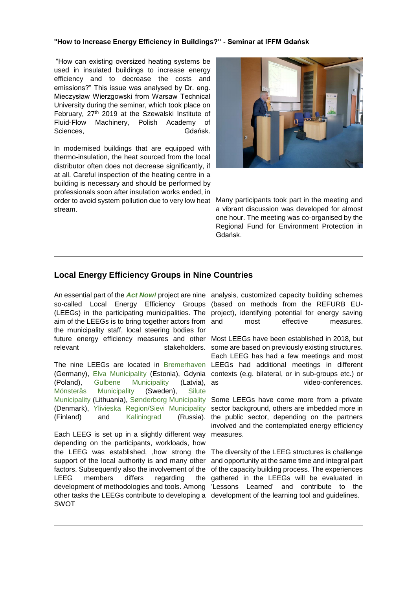#### **"How to Increase Energy Efficiency in Buildings?" - Seminar at IFFM Gdańsk**

"How can existing oversized heating systems be used in insulated buildings to increase energy efficiency and to decrease the costs and emissions?" This issue was analysed by Dr. eng. Mieczysław Wierzgowski from Warsaw Technical University during the seminar, which took place on February, 27<sup>th</sup> 2019 at the Szewalski Institute of Fluid-Flow Machinery, Polish Academy of Sciences, Gdańsk.

In modernised buildings that are equipped with thermo-insulation, the heat sourced from the local distributor often does not decrease significantly, if at all. Careful inspection of the heating centre in a building is necessary and should be performed by professionals soon after insulation works ended, in order to avoid system pollution due to very low heat stream.



Many participants took part in the meeting and a vibrant discussion was developed for almost one hour. The meeting was co-organised by the Regional Fund for Environment Protection in Gdańsk.

# **Local Energy Efficiency Groups in Nine Countries**

An essential part of the *Act Now!* project are nine analysis, customized capacity building schemes so-called Local Energy Efficiency Groups (based on methods from the REFURB EU-(LEEGs) in the participating municipalities. The project), identifying potential for energy saving aim of the LEEGs is to bring together actors from and the municipality staff, local steering bodies for future energy efficiency measures and other Most LEEGs have been established in 2018, but relevant stakeholders. some are based on previously existing structures.

(Poland), [Gulbene Municipality](https://191838.seu.cleverreach.com/c/35028294/c81e728d2-prsytm) (Latvia), as [Mönsterås Municipality](https://191838.seu.cleverreach.com/c/35028697/c81e728d2-prsytm) (Sweden), [Silute](https://191838.seu.cleverreach.com/c/35028295/c81e728d2-prsytm)  [Municipality](https://191838.seu.cleverreach.com/c/35028295/c81e728d2-prsytm) (Lithuania), [Sønderborg Municipality](https://191838.seu.cleverreach.com/c/35028698/c81e728d2-prsytm) Some LEEGs have come more from a private (Denmark), [Ylivieska Region/Sievi Municipality](https://191838.seu.cleverreach.com/c/35028296/c81e728d2-prsytm) sector background, others are imbedded more in (Finland) and [Kaliningrad](https://191838.seu.cleverreach.com/c/35028298/c81e728d2-prsytm)

Each LEEG is set up in a slightly different way depending on the participants, workloads, how the LEEG was established, ,how strong the The diversity of the LEEG structures is challenge support of the local authority is and many other factors. Subsequently also the involvement of the of the capacity building process. The experiences LEEG members differs regarding development of methodologies and tools. Among 'Lessons Learned' and contribute to the other tasks the LEEGs contribute to developing a development of the learning tool and guidelines.SWOT

most effective measures.

The nine LEEGs are located in [Bremerhaven](https://191838.seu.cleverreach.com/c/35028292/c81e728d2-prsytm) LEEGs had additional meetings in different (Germany), [Elva Municipality](https://191838.seu.cleverreach.com/c/35028293/c81e728d2-prsytm) (Estonia), Gdynia contexts (e.g. bilateral, or in sub-groups etc.) or Each LEEG has had a few meetings and most video-conferences.

> (Russia). the public sector, depending on the partners involved and the contemplated energy efficiency measures.

and opportunity at the same time and integral part the gathered in the LEEGs will be evaluated in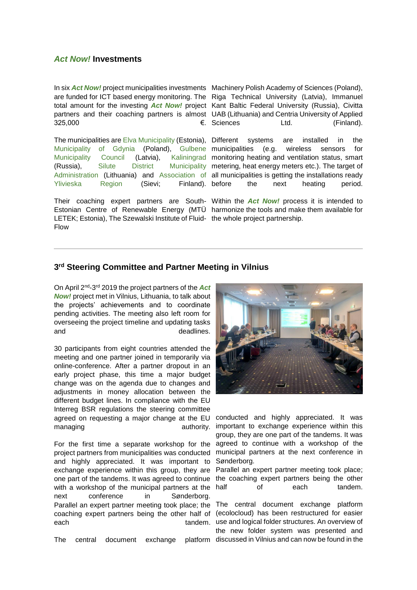### *Act Now!* **Investments**

In six **Act Now!** project municipalities investments Machinery Polish Academy of Sciences (Poland), are funded for ICT based energy monitoring. The Riga Technical University (Latvia), Immanuel total amount for the investing *Act Now!* project Kant Baltic Federal University (Russia), Civitta partners and their coaching partners is almost UAB (Lithuania) and Centria University of Applied 325,000 <del>€</del>. Sciences

The municipalities ar[e Elva Municipality](https://191838.seu.cleverreach.com/c/35028293/c81e728d2-prsytm) (Estonia), Different systems are installed in the [Municipality of Gdynia](https://191838.seu.cleverreach.com/c/35028297/c81e728d2-prsytm) (Poland), [Gulbene](https://191838.seu.cleverreach.com/c/35028294/c81e728d2-prsytm) municipalities (e.g. wireless sensors for [Municipality Council](https://191838.seu.cleverreach.com/c/35028294/c81e728d2-prsytm) (Latvia), (Russia), [Silute District Municipality](https://191838.seu.cleverreach.com/c/35028295/c81e728d2-prsytm) metering, heat energy meters etc.). The target of [Administration](https://191838.seu.cleverreach.com/c/35028295/c81e728d2-prsytm) (Lithuania) and [Association of](https://191838.seu.cleverreach.com/c/35028296/c81e728d2-prsytm) all municipalities is getting the installations ready [Ylivieska Region](https://191838.seu.cleverreach.com/c/35028296/c81e728d2-prsytm) (Sievi; Finland).

Their coaching expert partners are South-Within the *Act Now!* process it is intended to Estonian Centre of Renewable Energy (MTÜ harmonize the tools and make them available for LETEK; Estonia), The Szewalski Institute of Fluid-the whole project partnership. Flow

Ltd. (Finland).

Kaliningrad monitoring heating and ventilation status, smart the next heating period.

### **3 rd Steering Committee and Partner Meeting in Vilnius**

On April 2nd-3 rd 2019 the project partners of the *Act Now!* project met in Vilnius, Lithuania, to talk about the projects' achievements and to coordinate pending activities. The meeting also left room for overseeing the project timeline and updating tasks and and deadlines.

30 participants from eight countries attended the meeting and one partner joined in temporarily via online-conference. After a partner dropout in an early project phase, this time a major budget change was on the agenda due to changes and adjustments in money allocation between the different budget lines. In compliance with the EU Interreg BSR regulations the steering committee agreed on requesting a major change at the EU managing authority.

For the first time a separate workshop for the project partners from municipalities was conducted and highly appreciated. It was important to exchange experience within this group, they are one part of the tandems. It was agreed to continue with a workshop of the municipal partners at the next conference in Sønderborg. Parallel an expert partner meeting took place; the The central document exchange platform coaching expert partners being the other half of each tandem. use and logical folder structures. An overview of

The central document exchange



conducted and highly appreciated. It was important to exchange experience within this group, they are one part of the tandems. It was agreed to continue with a workshop of the municipal partners at the next conference in Sønderborg.

Parallel an expert partner meeting took place; the coaching expert partners being the other half of each tandem.

(ecolocloud) has been restructured for easier the new folder system was presented and platform discussed in Vilnius and can now be found in the